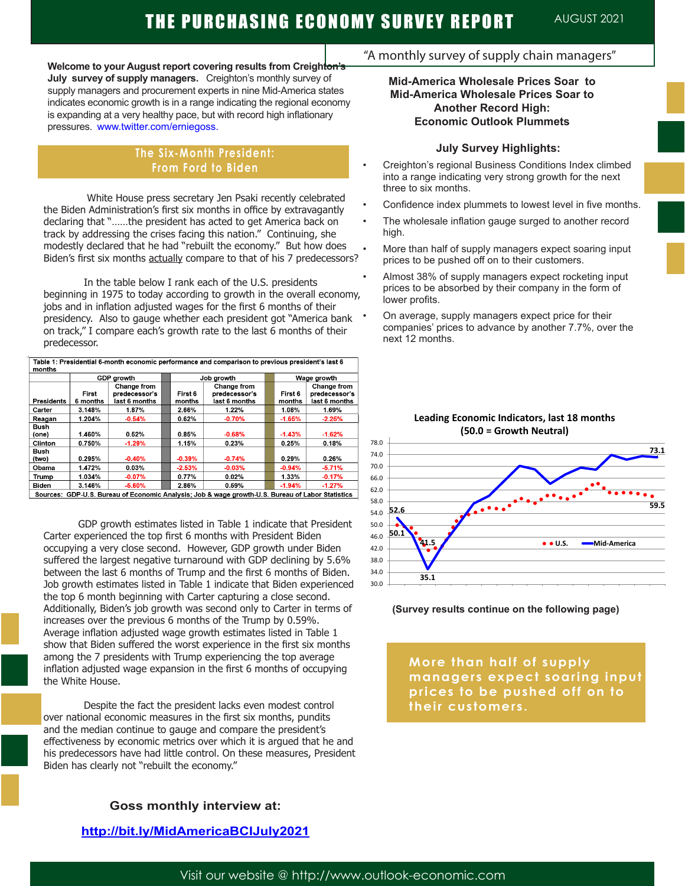**Welcome to your August report covering results from Creighton's July survey of supply managers.** Creighton's monthly survey of supply managers and procurement experts in nine Mid-America states indicates economic growth is in a range indicating the regional economy is expanding at a very healthy pace, but with record high inflationary pressures. www.twitter.com/erniegoss.

#### **The Six-Month President: From Ford to Biden**

 White House press secretary Jen Psaki recently celebrated the Biden Administration's first six months in office by extravagantly declaring that "……the president has acted to get America back on track by addressing the crises facing this nation." Continuing, she modestly declared that he had "rebuilt the economy." But how does Biden's first six months actually compare to that of his 7 predecessors?

In the table below I rank each of the U.S. presidents beginning in 1975 to today according to growth in the overall economy, jobs and in inflation adjusted wages for the first 6 months of their presidency. Also to gauge whether each president got "America bank on track," I compare each's growth rate to the last 6 months of their predecessor.

| Table 1. Presidential o month economic performance and companson to previous president s last o<br>months |                   |                                               |  |                   |                                               |  |                   |                                               |
|-----------------------------------------------------------------------------------------------------------|-------------------|-----------------------------------------------|--|-------------------|-----------------------------------------------|--|-------------------|-----------------------------------------------|
|                                                                                                           | GDP growth        |                                               |  | Job growth        |                                               |  | Wage growth       |                                               |
| Presidents                                                                                                | First<br>6 months | Change from<br>predecessor's<br>last 6 months |  | First 6<br>months | Change from<br>predecessor's<br>last 6 months |  | First 6<br>months | Change from<br>predecessor's<br>last 6 months |
| Carter                                                                                                    | 3.148%            | 1.87%                                         |  | 2.66%             | 1.22%                                         |  | 1.08%             | 1.69%                                         |
| Reagan                                                                                                    | 1.204%            | $-0.54%$                                      |  | 0.62%             | $-0.70%$                                      |  | $-1.65%$          | $-2.25%$                                      |
| Bush<br>(one)                                                                                             | 1.460%            | 0.52%                                         |  | 0.85%             | $-0.68%$                                      |  | $-1.43%$          | $-1.62%$                                      |
| Clinton                                                                                                   | 0.750%            | $-1.29%$                                      |  | 1.15%             | 0.23%                                         |  | 0.25%             | 0.18%                                         |
| Bush<br>(two)                                                                                             | 0.295%            | $-0.40%$                                      |  | $-0.39%$          | $-0.74%$                                      |  | 0.29%             | 0.26%                                         |
| Obama                                                                                                     | 1.472%            | 0.03%                                         |  | $-2.53%$          | $-0.03%$                                      |  | $-0.94%$          | $-5.71%$                                      |
| Trump                                                                                                     | 1.034%            | $-0.07%$                                      |  | 0.77%             | 0.02%                                         |  | 1.33%             | $-0.17%$                                      |
| <b>Biden</b>                                                                                              | 3.146%            | $-5.60%$                                      |  | 2.86%             | 0.59%                                         |  | $-1.94%$          | $-1.27%$                                      |

Sources: GDP-U.S. Bureau of Economic Analysis; Job & wage growth-U.S. Bureau of Labor Statistics

 GDP growth estimates listed in Table 1 indicate that President Carter experienced the top first 6 months with President Biden occupying a very close second. However, GDP growth under Biden suffered the largest negative turnaround with GDP declining by 5.6% between the last 6 months of Trump and the first 6 months of Biden. Job growth estimates listed in Table 1 indicate that Biden experienced the top 6 month beginning with Carter capturing a close second. Additionally, Biden's job growth was second only to Carter in terms of increases over the previous 6 months of the Trump by 0.59%. Average inflation adjusted wage growth estimates listed in Table 1 show that Biden suffered the worst experience in the first six months among the 7 presidents with Trump experiencing the top average inflation adjusted wage expansion in the first 6 months of occupying the White House.

Despite the fact the president lacks even modest control over national economic measures in the first six months, pundits and the median continue to gauge and compare the president's effectiveness by economic metrics over which it is argued that he and his predecessors have had little control. On these measures, President Biden has clearly not "rebuilt the economy."

### **Goss monthly interview at:**

#### **http://bit.ly/MidAmericaBCIJuly2021**

#### "A monthly survey of supply chain managers"

#### **Mid-America Wholesale Prices Soar to Mid-America Wholesale Prices Soar to Another Record High: Economic Outlook Plummets**

#### **July Survey Highlights:**

- Creighton's regional Business Conditions Index climbed into a range indicating very strong growth for the next three to six months.
- Confidence index plummets to lowest level in five months.
- The wholesale inflation gauge surged to another record high.
- More than half of supply managers expect soaring input prices to be pushed off on to their customers.
- Almost 38% of supply managers expect rocketing input prices to be absorbed by their company in the form of lower profits.
	- On average, supply managers expect price for their companies' prices to advance by another 7.7%, over the next 12 months.



#### **Leading Economic Indicators, last 18 months (50.0 = Growth Neutral)**

#### **(Survey results continue on the following page)**

**More than half of supply managers expect soaring input prices to be pushed off on to their customers.**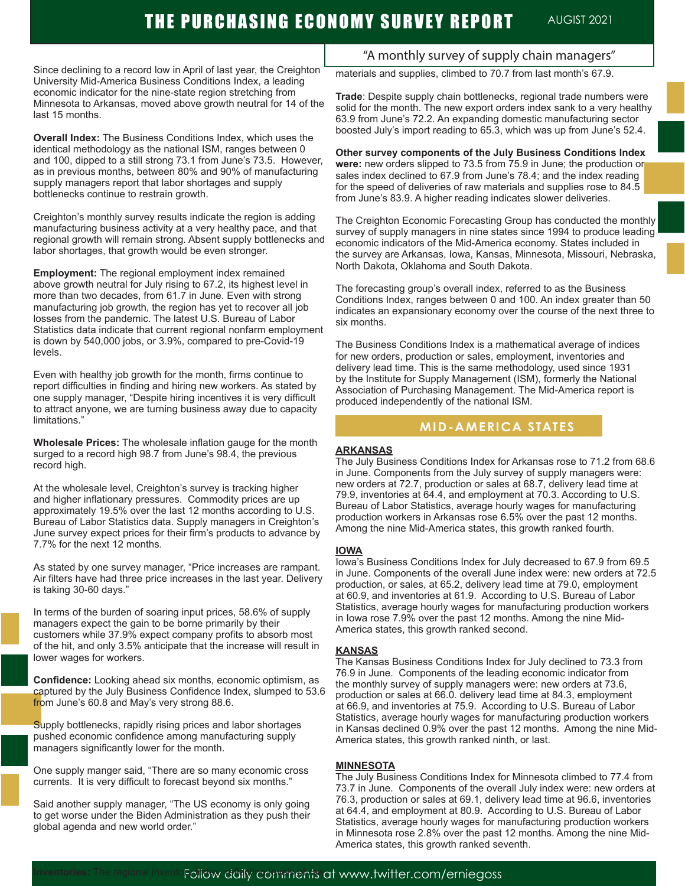# THE PURCHASING ECONOMY SURVEY REPORT AUGIST 2021

Since declining to a record low in April of last year, the Creighton University Mid-America Business Conditions Index, a leading economic indicator for the nine-state region stretching from Minnesota to Arkansas, moved above growth neutral for 14 of the last 15 months.

**Overall Index:** The Business Conditions Index, which uses the identical methodology as the national ISM, ranges between 0 and 100, dipped to a still strong 73.1 from June's 73.5. However, as in previous months, between 80% and 90% of manufacturing supply managers report that labor shortages and supply bottlenecks continue to restrain growth.

Creighton's monthly survey results indicate the region is adding manufacturing business activity at a very healthy pace, and that regional growth will remain strong. Absent supply bottlenecks and labor shortages, that growth would be even stronger.

**Employment:** The regional employment index remained above growth neutral for July rising to 67.2, its highest level in more than two decades, from 61.7 in June. Even with strong manufacturing job growth, the region has yet to recover all job losses from the pandemic. The latest U.S. Bureau of Labor Statistics data indicate that current regional nonfarm employment is down by 540,000 jobs, or 3.9%, compared to pre-Covid-19 levels.

Even with healthy job growth for the month, firms continue to report difficulties in finding and hiring new workers. As stated by one supply manager, "Despite hiring incentives it is very difficult to attract anyone, we are turning business away due to capacity limitations."

**Wholesale Prices:** The wholesale inflation gauge for the month surged to a record high 98.7 from June's 98.4, the previous record high.

At the wholesale level, Creighton's survey is tracking higher and higher inflationary pressures. Commodity prices are up approximately 19.5% over the last 12 months according to U.S. Bureau of Labor Statistics data. Supply managers in Creighton's June survey expect prices for their firm's products to advance by 7.7% for the next 12 months.

As stated by one survey manager, "Price increases are rampant. Air filters have had three price increases in the last year. Delivery is taking 30-60 days."

In terms of the burden of soaring input prices, 58.6% of supply managers expect the gain to be borne primarily by their customers while 37.9% expect company profits to absorb most of the hit, and only 3.5% anticipate that the increase will result in lower wages for workers.

**Confidence:** Looking ahead six months, economic optimism, as captured by the July Business Confidence Index, slumped to 53.6 from June's 60.8 and May's very strong 88.6.

Supply bottlenecks, rapidly rising prices and labor shortages pushed economic confidence among manufacturing supply managers significantly lower for the month.

One supply manger said, "There are so many economic cross currents. It is very difficult to forecast beyond six months."

Said another supply manager, "The US economy is only going to get worse under the Biden Administration as they push their global agenda and new world order."

## "A monthly survey of supply chain managers"

materials and supplies, climbed to 70.7 from last month's 67.9.

**Trade**: Despite supply chain bottlenecks, regional trade numbers were solid for the month. The new export orders index sank to a very healthy 63.9 from June's 72.2. An expanding domestic manufacturing sector boosted July's import reading to 65.3, which was up from June's 52.4.

**Other survey components of the July Business Conditions Index were:** new orders slipped to 73.5 from 75.9 in June; the production or sales index declined to 67.9 from June's 78.4; and the index reading for the speed of deliveries of raw materials and supplies rose to 84.5 from June's 83.9. A higher reading indicates slower deliveries.

The Creighton Economic Forecasting Group has conducted the monthly survey of supply managers in nine states since 1994 to produce leading economic indicators of the Mid-America economy. States included in the survey are Arkansas, Iowa, Kansas, Minnesota, Missouri, Nebraska, North Dakota, Oklahoma and South Dakota.

The forecasting group's overall index, referred to as the Business Conditions Index, ranges between 0 and 100. An index greater than 50 indicates an expansionary economy over the course of the next three to six months.

The Business Conditions Index is a mathematical average of indices for new orders, production or sales, employment, inventories and delivery lead time. This is the same methodology, used since 1931 by the Institute for Supply Management (ISM), formerly the National Association of Purchasing Management. The Mid-America report is produced independently of the national ISM.

#### **MID-AMERICA STATES**

#### **ARKANSAS**

The July Business Conditions Index for Arkansas rose to 71.2 from 68.6 in June. Components from the July survey of supply managers were: new orders at 72.7, production or sales at 68.7, delivery lead time at 79.9, inventories at 64.4, and employment at 70.3. According to U.S. Bureau of Labor Statistics, average hourly wages for manufacturing production workers in Arkansas rose 6.5% over the past 12 months. Among the nine Mid-America states, this growth ranked fourth.

#### **IOWA**

Iowa's Business Conditions Index for July decreased to 67.9 from 69.5 in June. Components of the overall June index were: new orders at 72.5 production, or sales, at 65.2, delivery lead time at 79.0, employment at 60.9, and inventories at 61.9. According to U.S. Bureau of Labor Statistics, average hourly wages for manufacturing production workers in Iowa rose 7.9% over the past 12 months. Among the nine Mid-America states, this growth ranked second.

#### **KANSAS**

The Kansas Business Conditions Index for July declined to 73.3 from 76.9 in June. Components of the leading economic indicator from the monthly survey of supply managers were: new orders at 73.6, production or sales at 66.0. delivery lead time at 84.3, employment at 66.9, and inventories at 75.9. According to U.S. Bureau of Labor Statistics, average hourly wages for manufacturing production workers in Kansas declined 0.9% over the past 12 months. Among the nine Mid-America states, this growth ranked ninth, or last.

#### **MINNESOTA**

The July Business Conditions Index for Minnesota climbed to 77.4 from 73.7 in June. Components of the overall July index were: new orders at 76.3, production or sales at 69.1, delivery lead time at 96.6, inventories at 64.4, and employment at 80.9. According to U.S. Bureau of Labor Statistics, average hourly wages for manufacturing production workers in Minnesota rose 2.8% over the past 12 months. Among the nine Mid-America states, this growth ranked seventh.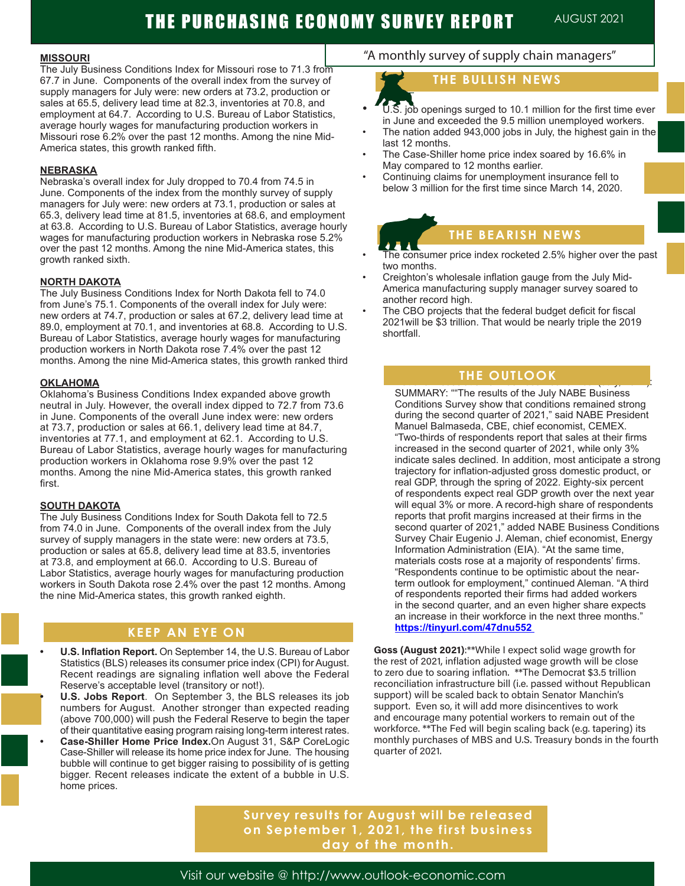#### **MISSOURI**

The July Business Conditions Index for Missouri rose to 71.3 from 67.7 in June. Components of the overall index from the survey of supply managers for July were: new orders at 73.2, production or sales at 65.5, delivery lead time at 82.3, inventories at 70.8, and employment at 64.7. According to U.S. Bureau of Labor Statistics, average hourly wages for manufacturing production workers in Missouri rose 6.2% over the past 12 months. Among the nine Mid-America states, this growth ranked fifth.

#### **NEBRASKA**

Nebraska's overall index for July dropped to 70.4 from 74.5 in June. Components of the index from the monthly survey of supply managers for July were: new orders at 73.1, production or sales at 65.3, delivery lead time at 81.5, inventories at 68.6, and employment at 63.8. According to U.S. Bureau of Labor Statistics, average hourly wages for manufacturing production workers in Nebraska rose 5.2% over the past 12 months. Among the nine Mid-America states, this growth ranked sixth.

#### **NORTH DAKOTA**

The July Business Conditions Index for North Dakota fell to 74.0 from June's 75.1. Components of the overall index for July were: new orders at 74.7, production or sales at 67.2, delivery lead time at 89.0, employment at 70.1, and inventories at 68.8. According to U.S. Bureau of Labor Statistics, average hourly wages for manufacturing production workers in North Dakota rose 7.4% over the past 12 months. Among the nine Mid-America states, this growth ranked third

#### **OKLAHOMA**

Oklahoma's Business Conditions Index expanded above growth neutral in July. However, the overall index dipped to 72.7 from 73.6 in June. Components of the overall June index were: new orders at 73.7, production or sales at 66.1, delivery lead time at 84.7, inventories at 77.1, and employment at 62.1. According to U.S. Bureau of Labor Statistics, average hourly wages for manufacturing production workers in Oklahoma rose 9.9% over the past 12 months. Among the nine Mid-America states, this growth ranked first.

#### **SOUTH DAKOTA**

The July Business Conditions Index for South Dakota fell to 72.5 from 74.0 in June. Components of the overall index from the July survey of supply managers in the state were: new orders at 73.5, production or sales at 65.8, delivery lead time at 83.5, inventories at 73.8, and employment at 66.0. According to U.S. Bureau of Labor Statistics, average hourly wages for manufacturing production workers in South Dakota rose 2.4% over the past 12 months. Among the nine Mid-America states, this growth ranked eighth.

### **KEEP AN EYE ON**

- ļ **• U.S. Inflation Report.** On September 14, the U.S. Bureau of Labor Statistics (BLS) releases its consumer price index (CPI) for August. Recent readings are signaling inflation well above the Federal Reserve's acceptable level (transitory or not!).
- **• U.S. Jobs Report**. On September 3, the BLS releases its job numbers for August. Another stronger than expected reading (above 700,000) will push the Federal Reserve to begin the taper of their quantitative easing program raising long-term interest rates.
- **• Case-Shiller Home Price Index.**On August 31, S&P CoreLogic Case-Shiller will release its home price index for June. The housing bubble will continue to get bigger raising to possibility of is getting bigger. Recent releases indicate the extent of a bubble in U.S. home prices.

## "A monthly survey of supply chain managers"

## **THE BULLISH NEWS**

- $\overline{\text{U}}$ .S. job openings surged to 10.1 million for the first time ever in June and exceeded the 9.5 million unemployed workers.
- The nation added 943,000 jobs in July, the highest gain in the last 12 months.
- The Case-Shiller home price index soared by 16.6% in May compared to 12 months earlier.
- Continuing claims for unemployment insurance fell to below 3 million for the first time since March 14, 2020.

## **THE BEARISH NEWS**

- The consumer price index rocketed 2.5% higher over the past two months.
- Creighton's wholesale inflation gauge from the July Mid-America manufacturing supply manager survey soared to another record high.
- The CBO projects that the federal budget deficit for fiscal 2021will be \$3 trillion. That would be nearly triple the 2019 shortfall.

## National Association of Business Economics. (July, 2021):  **THE OUTLOOK**

SUMMARY: ""The results of the July NABE Business Conditions Survey show that conditions remained strong during the second quarter of 2021," said NABE President Manuel Balmaseda, CBE, chief economist, CEMEX. "Two-thirds of respondents report that sales at their firms increased in the second quarter of 2021, while only 3% indicate sales declined. In addition, most anticipate a strong trajectory for inflation-adjusted gross domestic product, or real GDP, through the spring of 2022. Eighty-six percent of respondents expect real GDP growth over the next year will equal 3% or more. A record-high share of respondents reports that profit margins increased at their firms in the second quarter of 2021," added NABE Business Conditions Survey Chair Eugenio J. Aleman, chief economist, Energy Information Administration (EIA). "At the same time, materials costs rose at a majority of respondents' firms. "Respondents continue to be optimistic about the nearterm outlook for employment," continued Aleman. "A third of respondents reported their firms had added workers in the second quarter, and an even higher share expects an increase in their workforce in the next three months." **https://tinyurl.com/47dnu552** 

**Goss (August 2021)**:\*\*While I expect solid wage growth for the rest of 2021, inflation adjusted wage growth will be close to zero due to soaring inflation. \*\*The Democrat \$3.5 trillion reconciliation infrastructure bill (i.e. passed without Republican support) will be scaled back to obtain Senator Manchin's support. Even so, it will add more disincentives to work and encourage many potential workers to remain out of the workforce. \*\*The Fed will begin scaling back (e.g. tapering) its monthly purchases of MBS and U.S. Treasury bonds in the fourth quarter of 2021.

**Survey results for August will be released on September 1, 2021, the first business day of the month.** 

Visit our website @ http://www.outlook-economic.com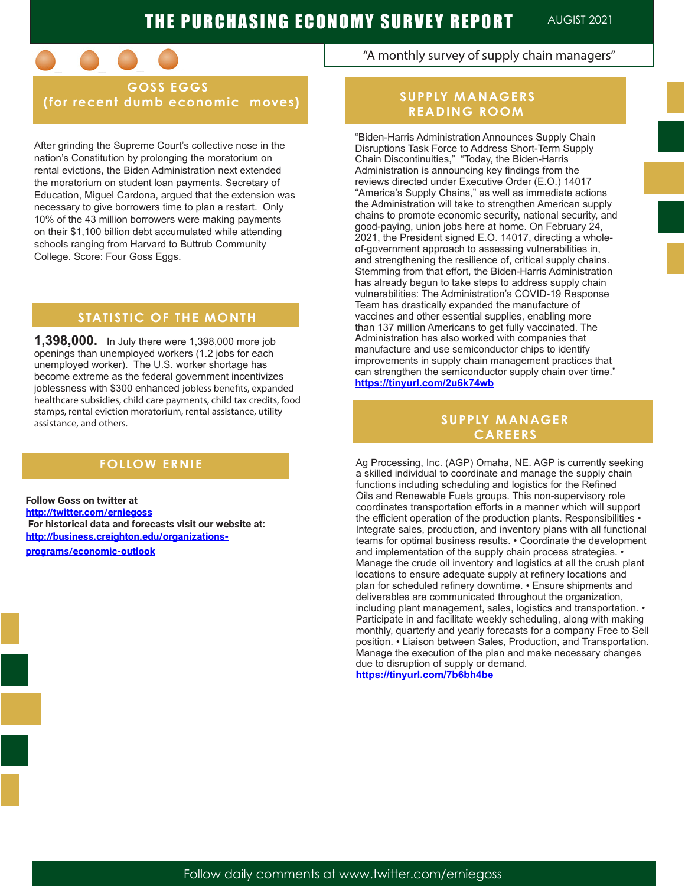

 **GOSS EGGS (for recent dumb economic moves)**

After grinding the Supreme Court's collective nose in the nation's Constitution by prolonging the moratorium on rental evictions, the Biden Administration next extended the moratorium on student loan payments. Secretary of Education, Miguel Cardona, argued that the extension was necessary to give borrowers time to plan a restart. Only 10% of the 43 million borrowers were making payments on their \$1,100 billion debt accumulated while attending schools ranging from Harvard to Buttrub Community College. Score: Four Goss Eggs.

## **STATISTIC OF THE MONTH**

**1,398,000.** In July there were 1,398,000 more job openings than unemployed workers (1.2 jobs for each unemployed worker). The U.S. worker shortage has become extreme as the federal government incentivizes joblessness with \$300 enhanced jobless benefits, expanded healthcare subsidies, child care payments, child tax credits, food stamps, rental eviction moratorium, rental assistance, utility assistance, and others.

**Follow Goss on twitter at http://twitter.com/erniegoss For historical data and forecasts visit our website at: http://business.creighton.edu/organizationsprograms/economic-outlook** 

"A monthly survey of supply chain managers"

### **SUPPLY MANAGERS READING ROOM**

"Biden-Harris Administration Announces Supply Chain Disruptions Task Force to Address Short-Term Supply Chain Discontinuities," "Today, the Biden-Harris Administration is announcing key findings from the reviews directed under Executive Order (E.O.) 14017 "America's Supply Chains," as well as immediate actions the Administration will take to strengthen American supply chains to promote economic security, national security, and good-paying, union jobs here at home. On February 24, 2021, the President signed E.O. 14017, directing a wholeof-government approach to assessing vulnerabilities in, and strengthening the resilience of, critical supply chains. Stemming from that effort, the Biden-Harris Administration has already begun to take steps to address supply chain vulnerabilities: The Administration's COVID-19 Response Team has drastically expanded the manufacture of vaccines and other essential supplies, enabling more than 137 million Americans to get fully vaccinated. The Administration has also worked with companies that manufacture and use semiconductor chips to identify improvements in supply chain management practices that can strengthen the semiconductor supply chain over time." **https://tinyurl.com/2u6k74wb**

#### **SUPPLY MANAGER CAREERS**

**FOLLOW ERNIE** Ag Processing, Inc. (AGP) Omaha, NE. AGP is currently seeking a skilled individual to coordinate and manage the supply chain functions including scheduling and logistics for the Refined Oils and Renewable Fuels groups. This non-supervisory role coordinates transportation efforts in a manner which will support the efficient operation of the production plants. Responsibilities • Integrate sales, production, and inventory plans with all functional teams for optimal business results. • Coordinate the development and implementation of the supply chain process strategies. • Manage the crude oil inventory and logistics at all the crush plant locations to ensure adequate supply at refinery locations and plan for scheduled refinery downtime. • Ensure shipments and deliverables are communicated throughout the organization, including plant management, sales, logistics and transportation. • Participate in and facilitate weekly scheduling, along with making monthly, quarterly and yearly forecasts for a company Free to Sell position. • Liaison between Sales, Production, and Transportation. Manage the execution of the plan and make necessary changes due to disruption of supply or demand. **https://tinyurl.com/7b6bh4be**